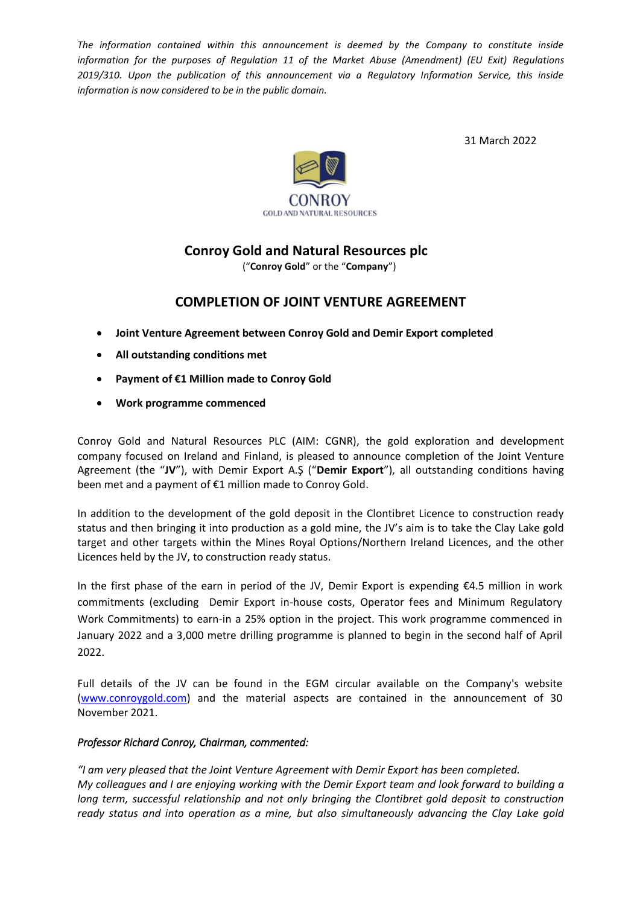*The information contained within this announcement is deemed by the Company to constitute inside information for the purposes of Regulation 11 of the Market Abuse (Amendment) (EU Exit) Regulations 2019/310. Upon the publication of this announcement via a Regulatory Information Service, this inside information is now considered to be in the public domain.*

31 March 2022



## **Conroy Gold and Natural Resources plc**

("**Conroy Gold**" or the "**Company**")

## **COMPLETION OF JOINT VENTURE AGREEMENT**

- **Joint Venture Agreement between Conroy Gold and Demir Export completed**
- **All outstanding conditions met**
- **Payment of €1 Million made to Conroy Gold**
- **Work programme commenced**

Conroy Gold and Natural Resources PLC (AIM: CGNR), the gold exploration and development company focused on Ireland and Finland, is pleased to announce completion of the Joint Venture Agreement (the "**JV**"), with Demir Export A.Ş ("**Demir Export**"), all outstanding conditions having been met and a payment of €1 million made to Conroy Gold.

In addition to the development of the gold deposit in the Clontibret Licence to construction ready status and then bringing it into production as a gold mine, the JV's aim is to take the Clay Lake gold target and other targets within the Mines Royal Options/Northern Ireland Licences, and the other Licences held by the JV, to construction ready status.

In the first phase of the earn in period of the JV, Demir Export is expending €4.5 million in work commitments (excluding Demir Export in-house costs, Operator fees and Minimum Regulatory Work Commitments) to earn-in a 25% option in the project. This work programme commenced in January 2022 and a 3,000 metre drilling programme is planned to begin in the second half of April 2022.

Full details of the JV can be found in the EGM circular available on the Company's website [\(www.conroygold.com\)](http://www.conroygold.com/) and the material aspects are contained in the announcement of 30 November 2021.

## *Professor Richard Conroy, Chairman, commented:*

*"I am very pleased that the Joint Venture Agreement with Demir Export has been completed. My colleagues and I are enjoying working with the Demir Export team and look forward to building a long term, successful relationship and not only bringing the Clontibret gold deposit to construction ready status and into operation as a mine, but also simultaneously advancing the Clay Lake gold*